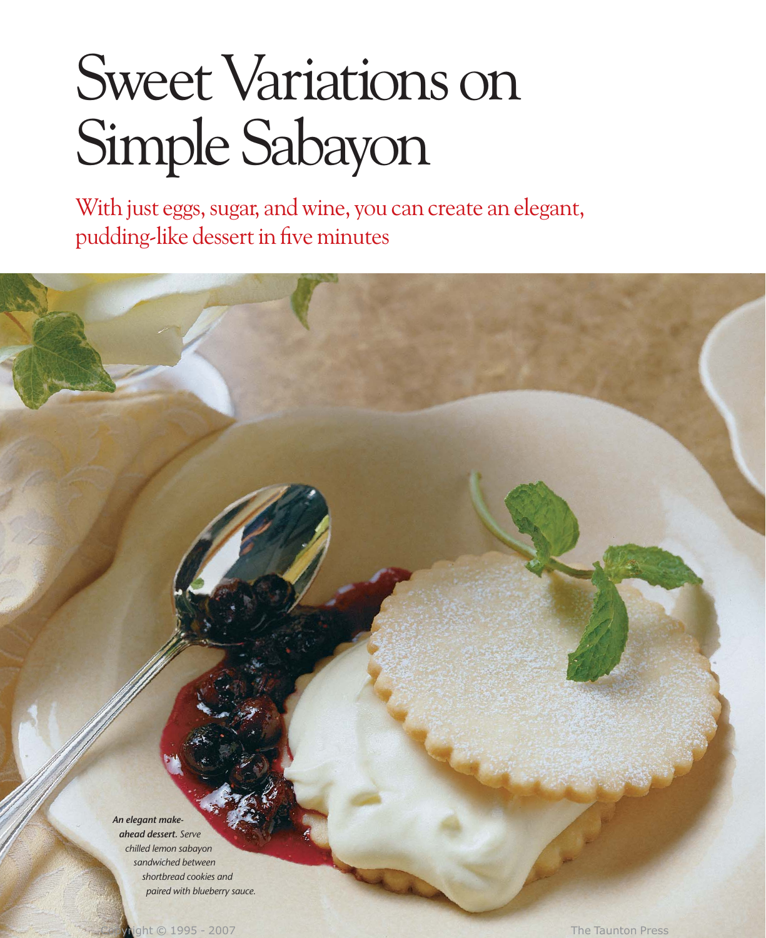# Sweet Variations on Simple Sabayon

With just eggs, sugar, and wine, you can create an elegant, pudding-like dessert in five minutes

*An elegant makeahead dessert. Serve chilled lemon sabayon sandwiched between shortbread cookies and paired with blueberry sauce.*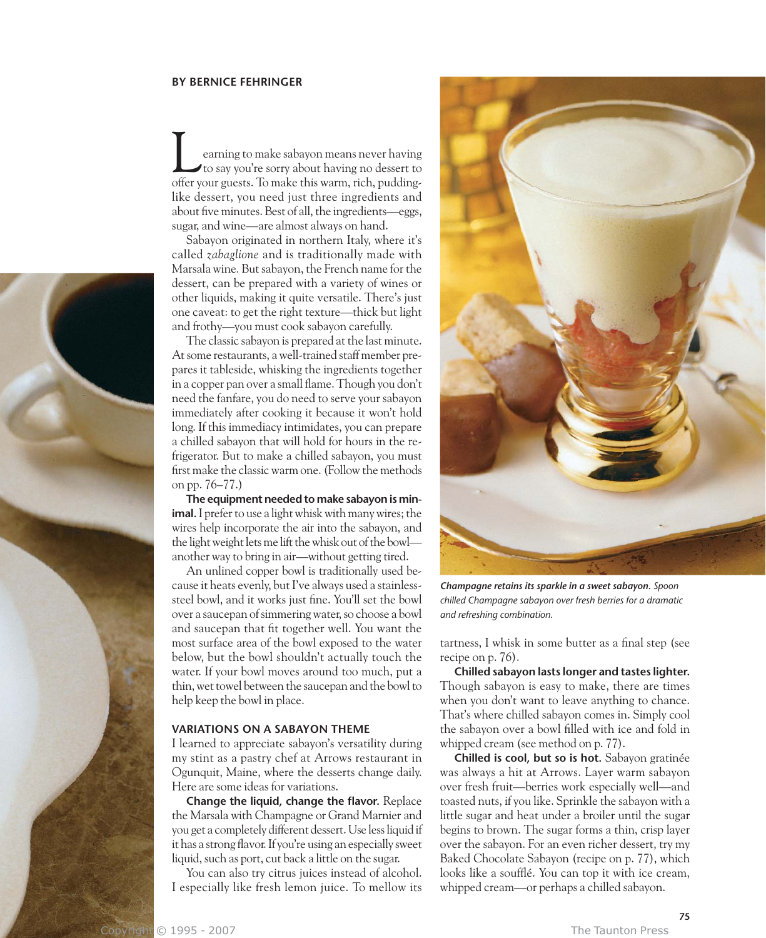#### **BY BERNICE FEHRINGER**

earning to make sabayon means never having to say you're sorry about having no dessert to Learning to make sabayon means never having<br>to say you're sorry about having no dessert to<br>offer your guests. To make this warm, rich, puddinglike dessert, you need just three ingredients and about five minutes. Best of all, the ingredients—eggs, sugar, and wine—are almost always on hand.

Sabayon originated in northern Italy, where it's called *zabaglione* and is traditionally made with Marsala wine*.* But sabayon, the French name for the dessert, can be prepared with a variety of wines or other liquids, making it quite versatile. There's just one caveat: to get the right texture—thick but light and frothy—you must cook sabayon carefully.

The classic sabayon is prepared at the last minute. At some restaurants, a well-trained staff member prepares it tableside, whisking the ingredients together in a copper pan over a small flame. Though you don't need the fanfare, you do need to serve your sabayon immediately after cooking it because it won't hold long. If this immediacy intimidates, you can prepare a chilled sabayon that will hold for hours in the refrigerator. But to make a chilled sabayon, you must first make the classic warm one. (Follow the methods on pp. 76–77.)

**The equipment needed to make sabayon is minimal.** I prefer to use a light whisk with many wires; the wires help incorporate the air into the sabayon, and the light weight lets me lift the whisk out of the bowl another way to bring in air—without getting tired.

An unlined copper bowl is traditionally used because it heats evenly, but I've always used a stainlesssteel bowl, and it works just fine. You'll set the bowl over a saucepan of simmering water, so choose a bowl and saucepan that fit together well. You want the most surface area of the bowl exposed to the water below, but the bowl shouldn't actually touch the water. If your bowl moves around too much, put a thin, wet towel between the saucepan and the bowl to help keep the bowl in place.

#### **VARIATIONS ON A SABAYON THEME**

I learned to appreciate sabayon's versatility during my stint as a pastry chef at Arrows restaurant in Ogunquit, Maine, where the desserts change daily. Here are some ideas for variations.

**Change the liquid, change the flavor.** Replace the Marsala with Champagne or Grand Marnier and you get a completely different dessert. Use less liquid if it has a strong flavor. If you're using an especially sweet liquid, such as port, cut back a little on the sugar.

You can also try citrus juices instead of alcohol. I especially like fresh lemon juice. To mellow its



*Champagne retains its sparkle in a sweet sabayon. Spoon chilled Champagne sabayon over fresh berries for a dramatic and refreshing combination.*

tartness, I whisk in some butter as a final step (see recipe on p. 76).

**Chilled sabayon lasts longer and tastes lighter.** Though sabayon is easy to make, there are times when you don't want to leave anything to chance. That's where chilled sabayon comes in. Simply cool the sabayon over a bowl filled with ice and fold in whipped cream (see method on p. 77).

**Chilled is cool, but so is hot.** Sabayon gratinée was always a hit at Arrows. Layer warm sabayon over fresh fruit—berries work especially well—and toasted nuts, if you like. Sprinkle the sabayon with a little sugar and heat under a broiler until the sugar begins to brown. The sugar forms a thin, crisp layer over the sabayon. For an even richer dessert, try my Baked Chocolate Sabayon (recipe on p. 77), which looks like a soufflé. You can top it with ice cream, whipped cream—or perhaps a chilled sabayon.

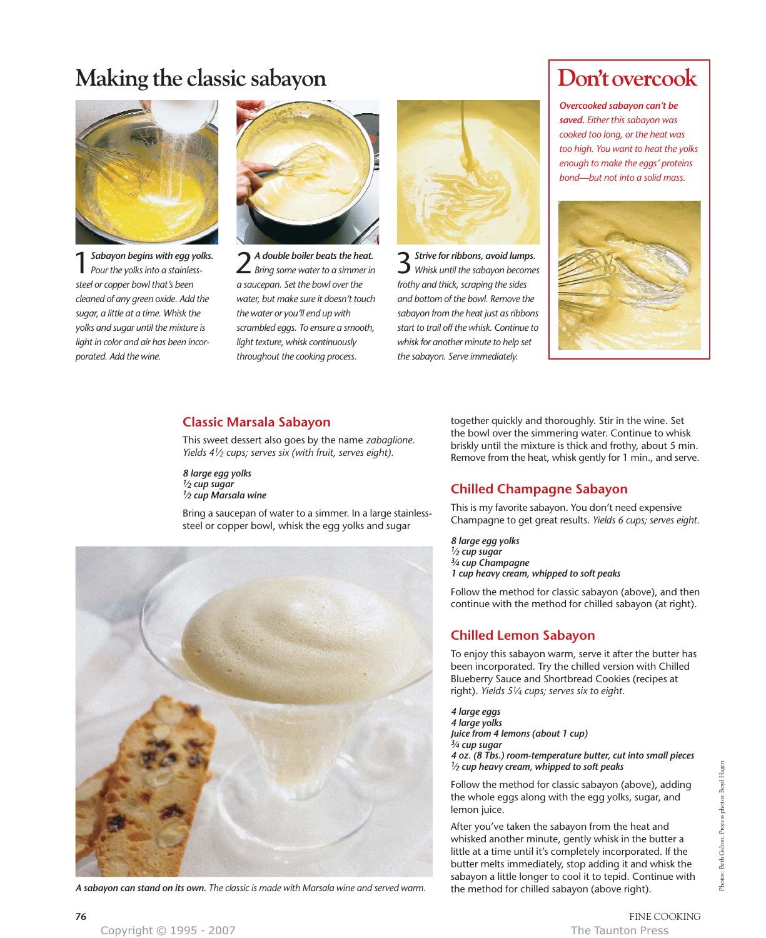## **Making the classic sabayon**



1*Sabayon begins with egg yolks. Pour the yolks into a stainlesssteel or copper bowl that's been cleaned of any green oxide. Add the sugar, a little at a time. Whisk the yolks and sugar until the mixture is light in color and air has been incorporated. Add the wine.*



2 *A double boiler beats the heat. Bring some water to a simmer in a saucepan. Set the bowl over the water, but make sure it doesn't touch the water or you'll end up with scrambled eggs. To ensure a smooth, light texture, whisk continuously throughout the cooking process.*



3*Strive for ribbons, avoid lumps. Whisk until the sabayon becomes frothy and thick, scraping the sides and bottom of the bowl. Remove the sabayon from the heat just as ribbons start to trail off the whisk. Continue to whisk for another minute to help set the sabayon. Serve immediately.*

## Don't overcook

*Overcooked sabayon can't be saved. Either this sabayon was cooked too long, or the heat was too high. You want to heat the yolks enough to make the eggs' proteins bond—but not into a solid mass.*



#### **Classic Marsala Sabayon**

This sweet dessert also goes by the name *zabaglione. Yields 41⁄2 cups; serves six (with fruit, serves eight).*

*8 large egg yolks 1⁄2 cup sugar 1⁄2 cup Marsala wine*

Bring a saucepan of water to a simmer. In a large stainlesssteel or copper bowl, whisk the egg yolks and sugar



A sabayon can stand on its own. The classic is made with Marsala wine and served warm.

together quickly and thoroughly. Stir in the wine. Set the bowl over the simmering water. Continue to whisk briskly until the mixture is thick and frothy, about 5 min. Remove from the heat, whisk gently for 1 min., and serve.

#### **Chilled Champagne Sabayon**

This is my favorite sabayon. You don't need expensive Champagne to get great results. *Yields 6 cups; serves eight.*

*8 large egg yolks 1⁄2 cup sugar 3⁄4 cup Champagne 1 cup heavy cream, whipped to soft peaks*

Follow the method for classic sabayon (above), and then continue with the method for chilled sabayon (at right).

#### **Chilled Lemon Sabayon**

To enjoy this sabayon warm, serve it after the butter has been incorporated. Try the chilled version with Chilled Blueberry Sauce and Shortbread Cookies (recipes at right). *Yields 51⁄4 cups; serves six to eight.*

*4 large eggs 4 large yolks Juice from 4 lemons (about 1 cup) 3⁄4 cup sugar 4 oz. (8 Tbs.) room-temperature butter, cut into small pieces 1⁄2 cup heavy cream, whipped to soft peaks*

Follow the method for classic sabayon (above), adding the whole eggs along with the egg yolks, sugar, and lemon juice.

After you've taken the sabayon from the heat and whisked another minute, gently whisk in the butter a little at a time until it's completely incorporated. If the butter melts immediately, stop adding it and whisk the sabayon a little longer to cool it to tepid. Continue with<br>the method for chilled sabayon (above right).